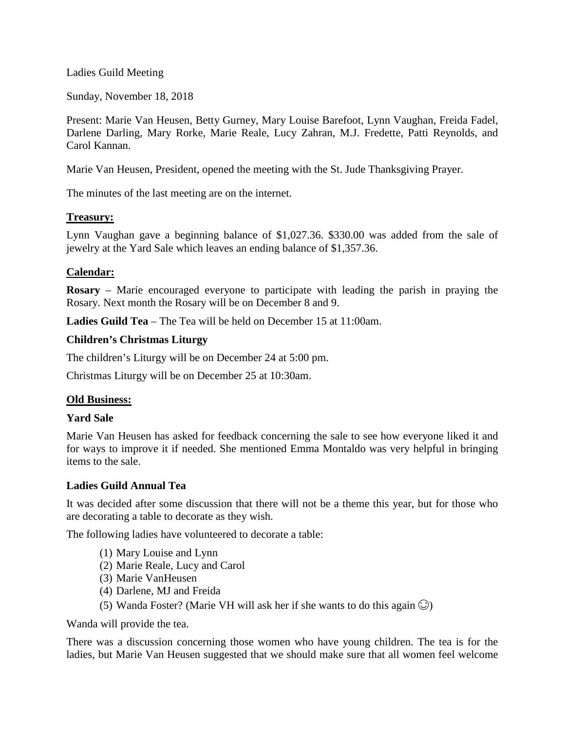Ladies Guild Meeting

Sunday, November 18, 2018

Present: Marie Van Heusen, Betty Gurney, Mary Louise Barefoot, Lynn Vaughan, Freida Fadel, Darlene Darling, Mary Rorke, Marie Reale, Lucy Zahran, M.J. Fredette, Patti Reynolds, and Carol Kannan.

Marie Van Heusen, President, opened the meeting with the St. Jude Thanksgiving Prayer.

The minutes of the last meeting are on the internet.

#### **Treasury:**

Lynn Vaughan gave a beginning balance of \$1,027.36. \$330.00 was added from the sale of jewelry at the Yard Sale which leaves an ending balance of \$1,357.36.

## **Calendar:**

**Rosary** – Marie encouraged everyone to participate with leading the parish in praying the Rosary. Next month the Rosary will be on December 8 and 9.

**Ladies Guild Tea** – The Tea will be held on December 15 at 11:00am.

## **Children's Christmas Liturgy**

The children's Liturgy will be on December 24 at 5:00 pm.

Christmas Liturgy will be on December 25 at 10:30am.

## **Old Business:**

#### **Yard Sale**

Marie Van Heusen has asked for feedback concerning the sale to see how everyone liked it and for ways to improve it if needed. She mentioned Emma Montaldo was very helpful in bringing items to the sale.

#### **Ladies Guild Annual Tea**

It was decided after some discussion that there will not be a theme this year, but for those who are decorating a table to decorate as they wish.

The following ladies have volunteered to decorate a table:

- (1) Mary Louise and Lynn
- (2) Marie Reale, Lucy and Carol
- (3) Marie VanHeusen
- (4) Darlene, MJ and Freida
- (5) Wanda Foster? (Marie VH will ask her if she wants to do this again  $\odot$ )

Wanda will provide the tea.

There was a discussion concerning those women who have young children. The tea is for the ladies, but Marie Van Heusen suggested that we should make sure that all women feel welcome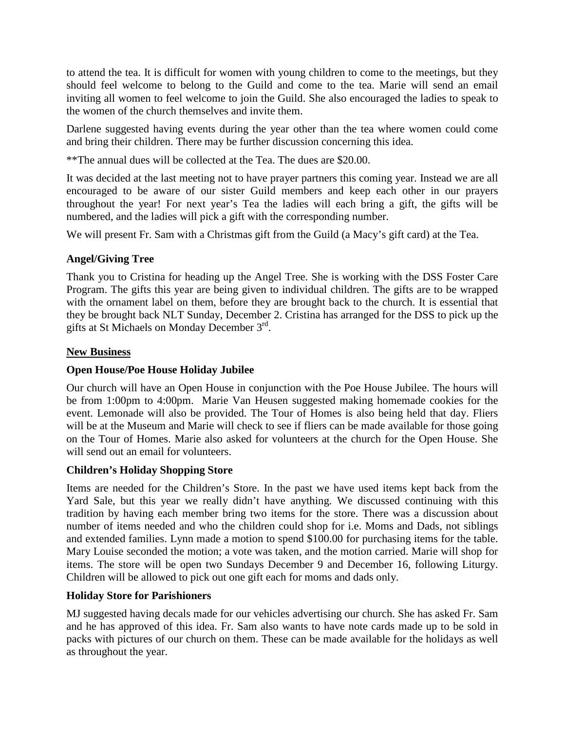to attend the tea. It is difficult for women with young children to come to the meetings, but they should feel welcome to belong to the Guild and come to the tea. Marie will send an email inviting all women to feel welcome to join the Guild. She also encouraged the ladies to speak to the women of the church themselves and invite them.

Darlene suggested having events during the year other than the tea where women could come and bring their children. There may be further discussion concerning this idea.

\*\*The annual dues will be collected at the Tea. The dues are \$20.00.

It was decided at the last meeting not to have prayer partners this coming year. Instead we are all encouraged to be aware of our sister Guild members and keep each other in our prayers throughout the year! For next year's Tea the ladies will each bring a gift, the gifts will be numbered, and the ladies will pick a gift with the corresponding number.

We will present Fr. Sam with a Christmas gift from the Guild (a Macy's gift card) at the Tea.

# **Angel/Giving Tree**

Thank you to Cristina for heading up the Angel Tree. She is working with the DSS Foster Care Program. The gifts this year are being given to individual children. The gifts are to be wrapped with the ornament label on them, before they are brought back to the church. It is essential that they be brought back NLT Sunday, December 2. Cristina has arranged for the DSS to pick up the gifts at St Michaels on Monday December 3rd.

# **New Business**

# **Open House/Poe House Holiday Jubilee**

Our church will have an Open House in conjunction with the Poe House Jubilee. The hours will be from 1:00pm to 4:00pm. Marie Van Heusen suggested making homemade cookies for the event. Lemonade will also be provided. The Tour of Homes is also being held that day. Fliers will be at the Museum and Marie will check to see if fliers can be made available for those going on the Tour of Homes. Marie also asked for volunteers at the church for the Open House. She will send out an email for volunteers.

## **Children's Holiday Shopping Store**

Items are needed for the Children's Store. In the past we have used items kept back from the Yard Sale, but this year we really didn't have anything. We discussed continuing with this tradition by having each member bring two items for the store. There was a discussion about number of items needed and who the children could shop for i.e. Moms and Dads, not siblings and extended families. Lynn made a motion to spend \$100.00 for purchasing items for the table. Mary Louise seconded the motion; a vote was taken, and the motion carried. Marie will shop for items. The store will be open two Sundays December 9 and December 16, following Liturgy. Children will be allowed to pick out one gift each for moms and dads only.

## **Holiday Store for Parishioners**

MJ suggested having decals made for our vehicles advertising our church. She has asked Fr. Sam and he has approved of this idea. Fr. Sam also wants to have note cards made up to be sold in packs with pictures of our church on them. These can be made available for the holidays as well as throughout the year.